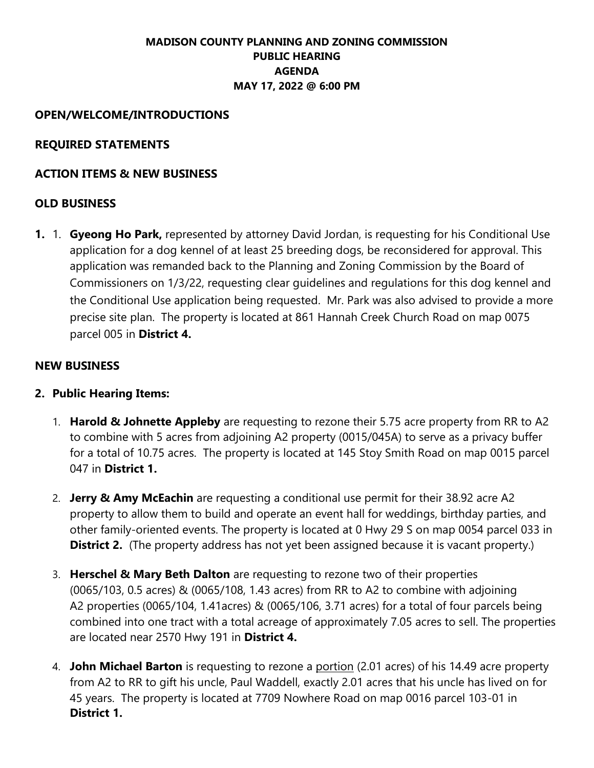## **MADISON COUNTY PLANNING AND ZONING COMMISSION PUBLIC HEARING AGENDA MAY 17, 2022 @ 6:00 PM**

## **OPEN/WELCOME/INTRODUCTIONS**

## **REQUIRED STATEMENTS**

## **ACTION ITEMS & NEW BUSINESS**

## **OLD BUSINESS**

**1.** 1. **Gyeong Ho Park,** represented by attorney David Jordan, is requesting for his Conditional Use application for a dog kennel of at least 25 breeding dogs, be reconsidered for approval. This application was remanded back to the Planning and Zoning Commission by the Board of Commissioners on 1/3/22, requesting clear guidelines and regulations for this dog kennel and the Conditional Use application being requested. Mr. Park was also advised to provide a more precise site plan. The property is located at 861 Hannah Creek Church Road on map 0075 parcel 005 in **District 4.**

## **NEW BUSINESS**

#### **2. Public Hearing Items:**

- 1. **Harold & Johnette Appleby** are requesting to rezone their 5.75 acre property from RR to A2 to combine with 5 acres from adjoining A2 property (0015/045A) to serve as a privacy buffer for a total of 10.75 acres. The property is located at 145 Stoy Smith Road on map 0015 parcel 047 in **District 1.**
- 2. **Jerry & Amy McEachin** are requesting a conditional use permit for their 38.92 acre A2 property to allow them to build and operate an event hall for weddings, birthday parties, and other family-oriented events. The property is located at 0 Hwy 29 S on map 0054 parcel 033 in **District 2.** (The property address has not yet been assigned because it is vacant property.)
- 3. **Herschel & Mary Beth Dalton** are requesting to rezone two of their properties (0065/103, 0.5 acres) & (0065/108, 1.43 acres) from RR to A2 to combine with adjoining A2 properties (0065/104, 1.41acres) & (0065/106, 3.71 acres) for a total of four parcels being combined into one tract with a total acreage of approximately 7.05 acres to sell. The properties are located near 2570 Hwy 191 in **District 4.**
- 4. **John Michael Barton** is requesting to rezone a portion (2.01 acres) of his 14.49 acre property from A2 to RR to gift his uncle, Paul Waddell, exactly 2.01 acres that his uncle has lived on for 45 years. The property is located at 7709 Nowhere Road on map 0016 parcel 103-01 in **District 1.**